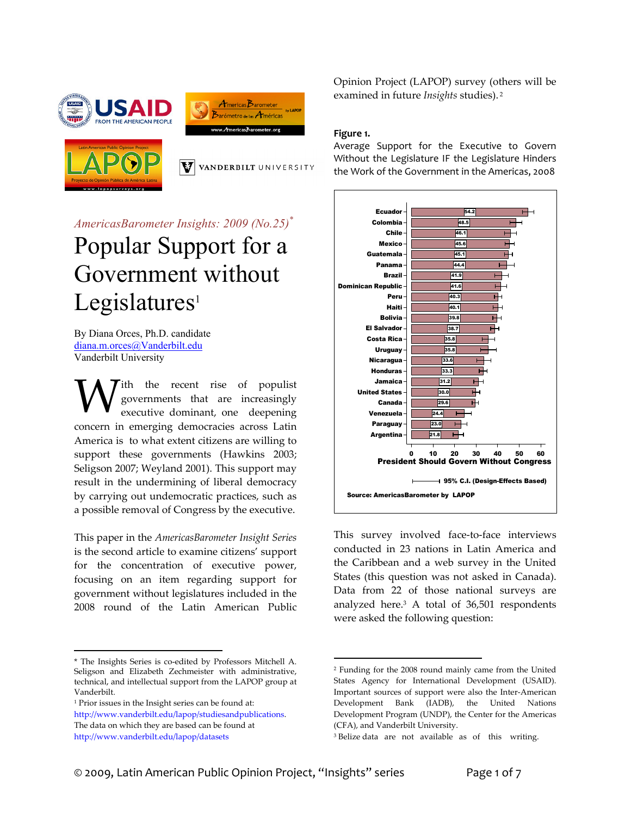





VANDERBILT UNIVERSITY

*AmericasBarometer Insights: 2009 (No.25)\**

# Popular Support for a Government without  $Legislatures<sup>1</sup>$

By Diana Orces, Ph.D. candidate diana.m.orces@Vanderbilt.edu Vanderbilt University

Tith the recent rise of populist governments that are increasingly executive dominant, one deepening concern in emerging democracies across Latin America is to what extent citizens are willing to support these governments (Hawkins 2003; Seligson 2007; Weyland 2001). This support may result in the undermining of liberal democracy by carrying out undemocratic practices, such as a possible removal of Congress by the executive. W

This paper in the *AmericasBarometer Insight Series* is the second article to examine citizens' support for the concentration of executive power, focusing on an item regarding support for government without legislatures included in the 2008 round of the Latin American Public

http://www.vanderbilt.edu/lapop/studiesandpublications. The data on which they are based can be found at http://www.vanderbilt.edu/lapop/datasets

Opinion Project (LAPOP) survey (others will be examined in future *Insights* studies). <sup>2</sup>

#### **Figure 1.**

Average Support for the Executive to Govern Without the Legislature IF the Legislature Hinders the Work of the Government in the Americas, 2008



This survey involved face-to-face interviews conducted in 23 nations in Latin America and the Caribbean and a web survey in the United States (this question was not asked in Canada). Data from 22 of those national surveys are analyzed here.3 A total of 36,501 respondents were asked the following question:

 $\overline{a}$ \* The Insights Series is co-edited by Professors Mitchell A. Seligson and Elizabeth Zechmeister with administrative, technical, and intellectual support from the LAPOP group at Vanderbilt.

<sup>1</sup> Prior issues in the Insight series can be found at:

 $\overline{a}$ <sup>2</sup> Funding for the 2008 round mainly came from the United States Agency for International Development (USAID). Important sources of support were also the Inter‐American Development Bank (IADB), the United Nations Development Program (UNDP), the Center for the Americas (CFA), and Vanderbilt University.

<sup>&</sup>lt;sup>3</sup> Belize data are not available as of this writing.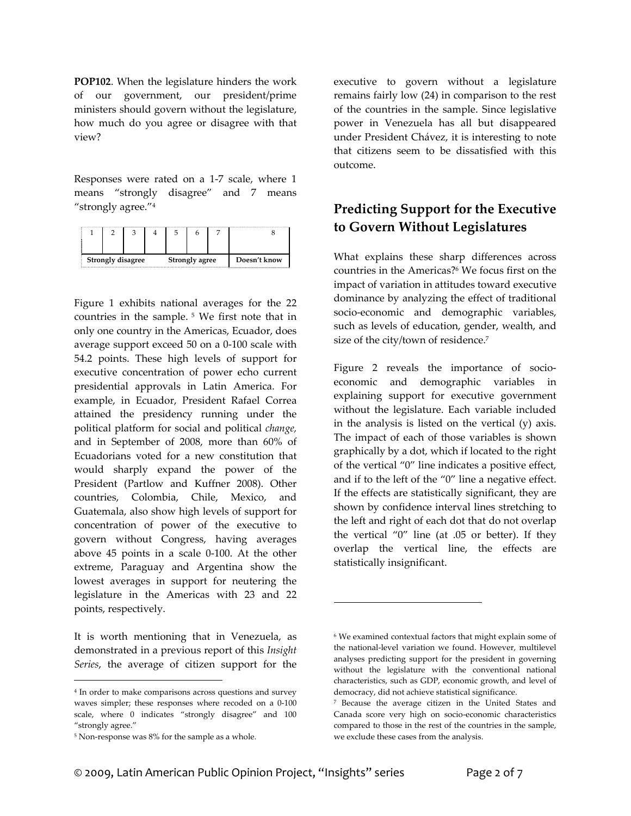**POP102**. When the legislature hinders the work of our government, our president/prime ministers should govern without the legislature, how much do you agree or disagree with that view?

Responses were rated on a 1‐7 scale, where 1 means "strongly disagree" and 7 means "strongly agree."4

| <b>Strongly disagree</b> |  |  | Strongly agree |  |  | Doesn't know |  |
|--------------------------|--|--|----------------|--|--|--------------|--|

Figure 1 exhibits national averages for the 22 countries in the sample. <sup>5</sup> We first note that in only one country in the Americas, Ecuador, does average support exceed 50 on a 0‐100 scale with 54.2 points. These high levels of support for executive concentration of power echo current presidential approvals in Latin America. For example, in Ecuador, President Rafael Correa attained the presidency running under the political platform for social and political *change,* and in September of 2008, more than 60% of Ecuadorians voted for a new constitution that would sharply expand the power of the President (Partlow and Kuffner 2008). Other countries, Colombia, Chile, Mexico, and Guatemala, also show high levels of support for concentration of power of the executive to govern without Congress, having averages above 45 points in a scale 0‐100. At the other extreme, Paraguay and Argentina show the lowest averages in support for neutering the legislature in the Americas with 23 and 22 points, respectively.

It is worth mentioning that in Venezuela, as demonstrated in a previous report of this *Insight Series*, the average of citizen support for the

 $\overline{a}$ 

executive to govern without a legislature remains fairly low (24) in comparison to the rest of the countries in the sample. Since legislative power in Venezuela has all but disappeared under President Chávez, it is interesting to note that citizens seem to be dissatisfied with this outcome.

## **Predicting Support for the Executive to Govern Without Legislatures**

What explains these sharp differences across countries in the Americas?6 We focus first on the impact of variation in attitudes toward executive dominance by analyzing the effect of traditional socio-economic and demographic variables, such as levels of education, gender, wealth, and size of the city/town of residence.7

Figure 2 reveals the importance of socioeconomic and demographic variables in explaining support for executive government without the legislature. Each variable included in the analysis is listed on the vertical (y) axis. The impact of each of those variables is shown graphically by a dot, which if located to the right of the vertical "0" line indicates a positive effect, and if to the left of the "0" line a negative effect. If the effects are statistically significant, they are shown by confidence interval lines stretching to the left and right of each dot that do not overlap the vertical "0" line (at .05 or better). If they overlap the vertical line, the effects are statistically insignificant.

 $\overline{a}$ 

<sup>4</sup> In order to make comparisons across questions and survey waves simpler; these responses where recoded on a 0‐100 scale, where 0 indicates "strongly disagree" and 100 "strongly agree."

<sup>&</sup>lt;sup>5</sup> Non-response was 8% for the sample as a whole.

<sup>6</sup> We examined contextual factors that might explain some of the national-level variation we found. However, multilevel analyses predicting support for the president in governing without the legislature with the conventional national characteristics, such as GDP, economic growth, and level of democracy, did not achieve statistical significance.

<sup>7</sup> Because the average citizen in the United States and Canada score very high on socio‐economic characteristics compared to those in the rest of the countries in the sample, we exclude these cases from the analysis.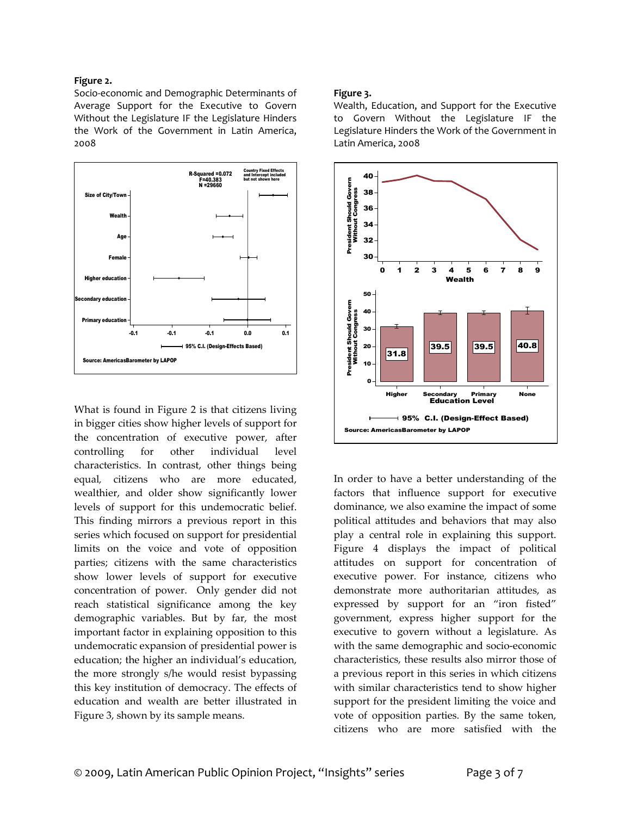#### **Figure 2.**

Socio‐economic and Demographic Determinants of Average Support for the Executive to Govern Without the Legislature IF the Legislature Hinders the Work of the Government in Latin America, 2008



What is found in Figure 2 is that citizens living in bigger cities show higher levels of support for the concentration of executive power, after controlling for other individual level characteristics. In contrast, other things being equal*,* citizens who are more educated, wealthier, and older show significantly lower levels of support for this undemocratic belief. This finding mirrors a previous report in this series which focused on support for presidential limits on the voice and vote of opposition parties; citizens with the same characteristics show lower levels of support for executive concentration of power. Only gender did not reach statistical significance among the key demographic variables. But by far, the most important factor in explaining opposition to this undemocratic expansion of presidential power is education; the higher an individual's education, the more strongly s/he would resist bypassing this key institution of democracy. The effects of education and wealth are better illustrated in Figure 3, shown by its sample means.

#### **Figure 3.**

Wealth, Education, and Support for the Executive to Govern Without the Legislature IF the Legislature Hinders the Work of the Government in Latin America, 2008



In order to have a better understanding of the factors that influence support for executive dominance, we also examine the impact of some political attitudes and behaviors that may also play a central role in explaining this support. Figure 4 displays the impact of political attitudes on support for concentration of executive power. For instance, citizens who demonstrate more authoritarian attitudes, as expressed by support for an "iron fisted" government, express higher support for the executive to govern without a legislature. As with the same demographic and socio‐economic characteristics, these results also mirror those of a previous report in this series in which citizens with similar characteristics tend to show higher support for the president limiting the voice and vote of opposition parties. By the same token, citizens who are more satisfied with the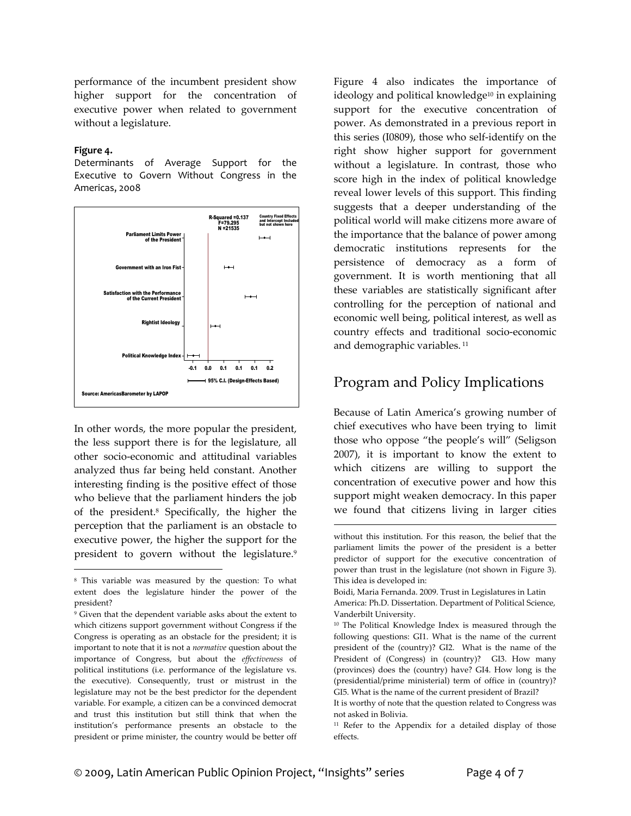performance of the incumbent president show higher support for the concentration of executive power when related to government without a legislature.

#### **Figure 4.**

 $\overline{a}$ 

Determinants of Average Support for the Executive to Govern Without Congress in the Americas, 2008



In other words, the more popular the president, the less support there is for the legislature, all other socio‐economic and attitudinal variables analyzed thus far being held constant. Another interesting finding is the positive effect of those who believe that the parliament hinders the job of the president.8 Specifically, the higher the perception that the parliament is an obstacle to executive power, the higher the support for the president to govern without the legislature.<sup>9</sup> Figure 4 also indicates the importance of ideology and political knowledge<sup>10</sup> in explaining support for the executive concentration of power. As demonstrated in a previous report in this series (I0809), those who self‐identify on the right show higher support for government without a legislature. In contrast, those who score high in the index of political knowledge reveal lower levels of this support. This finding suggests that a deeper understanding of the political world will make citizens more aware of the importance that the balance of power among democratic institutions represents for the persistence of democracy as a form of government. It is worth mentioning that all these variables are statistically significant after controlling for the perception of national and economic well being, political interest, as well as country effects and traditional socio‐economic and demographic variables.<sup>11</sup>

### Program and Policy Implications

Because of Latin America's growing number of chief executives who have been trying to limit those who oppose "the people's will" (Seligson 2007), it is important to know the extent to which citizens are willing to support the concentration of executive power and how this support might weaken democracy. In this paper we found that citizens living in larger cities

 $\overline{a}$ 

<sup>8</sup> This variable was measured by the question: To what extent does the legislature hinder the power of the president?

<sup>9</sup> Given that the dependent variable asks about the extent to which citizens support government without Congress if the Congress is operating as an obstacle for the president; it is important to note that it is not a *normative* question about the importance of Congress, but about the *effectiveness* of political institutions (i.e. performance of the legislature vs. the executive). Consequently, trust or mistrust in the legislature may not be the best predictor for the dependent variable. For example, a citizen can be a convinced democrat and trust this institution but still think that when the institution's performance presents an obstacle to the president or prime minister, the country would be better off

without this institution. For this reason, the belief that the parliament limits the power of the president is a better predictor of support for the executive concentration of power than trust in the legislature (not shown in Figure 3). This idea is developed in:

Boidi, Maria Fernanda. 2009. Trust in Legislatures in Latin America: Ph.D. Dissertation. Department of Political Science, Vanderbilt University.

<sup>10</sup> The Political Knowledge Index is measured through the following questions: GI1. What is the name of the current president of the (country)? GI2. What is the name of the President of (Congress) in (country)? GI3. How many (provinces) does the (country) have? GI4. How long is the (presidential/prime ministerial) term of office in (country)? GI5. What is the name of the current president of Brazil?

It is worthy of note that the question related to Congress was not asked in Bolivia.

<sup>&</sup>lt;sup>11</sup> Refer to the Appendix for a detailed display of those effects.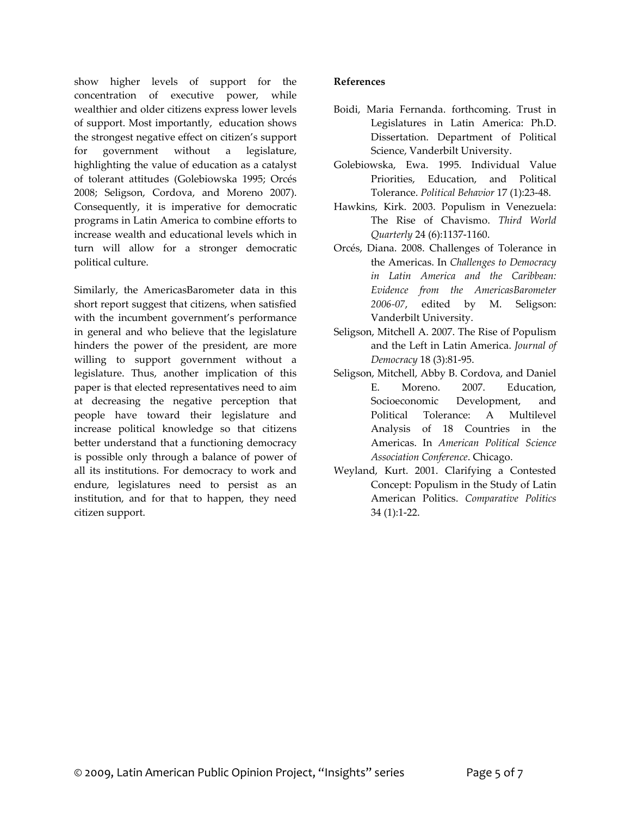show higher levels of support for the concentration of executive power, while wealthier and older citizens express lower levels of support. Most importantly, education shows the strongest negative effect on citizen's support for government without a legislature, highlighting the value of education as a catalyst of tolerant attitudes (Golebiowska 1995; Orcés 2008; Seligson, Cordova, and Moreno 2007). Consequently, it is imperative for democratic programs in Latin America to combine efforts to increase wealth and educational levels which in turn will allow for a stronger democratic political culture.

Similarly, the AmericasBarometer data in this short report suggest that citizens, when satisfied with the incumbent government's performance in general and who believe that the legislature hinders the power of the president, are more willing to support government without a legislature. Thus, another implication of this paper is that elected representatives need to aim at decreasing the negative perception that people have toward their legislature and increase political knowledge so that citizens better understand that a functioning democracy is possible only through a balance of power of all its institutions. For democracy to work and endure, legislatures need to persist as an institution, and for that to happen, they need citizen support.

#### **References**

- Boidi, Maria Fernanda. forthcoming. Trust in Legislatures in Latin America: Ph.D. Dissertation. Department of Political Science, Vanderbilt University.
- Golebiowska, Ewa. 1995. Individual Value Priorities, Education, and Political Tolerance. *Political Behavior* 17 (1):23‐48.
- Hawkins, Kirk. 2003. Populism in Venezuela: The Rise of Chavismo. *Third World Quarterly* 24 (6):1137‐1160.
- Orcés, Diana. 2008. Challenges of Tolerance in the Americas. In *Challenges to Democracy in Latin America and the Caribbean: Evidence from the AmericasBarometer 2006‐07*, edited by M. Seligson: Vanderbilt University.
- Seligson, Mitchell A. 2007. The Rise of Populism and the Left in Latin America. *Journal of Democracy* 18 (3):81‐95.
- Seligson, Mitchell, Abby B. Cordova, and Daniel E. Moreno. 2007. Education, Socioeconomic Development, and Political Tolerance: A Multilevel Analysis of 18 Countries in the Americas. In *American Political Science Association Conference*. Chicago.
- Weyland, Kurt. 2001. Clarifying a Contested Concept: Populism in the Study of Latin American Politics. *Comparative Politics* 34 (1):1‐22.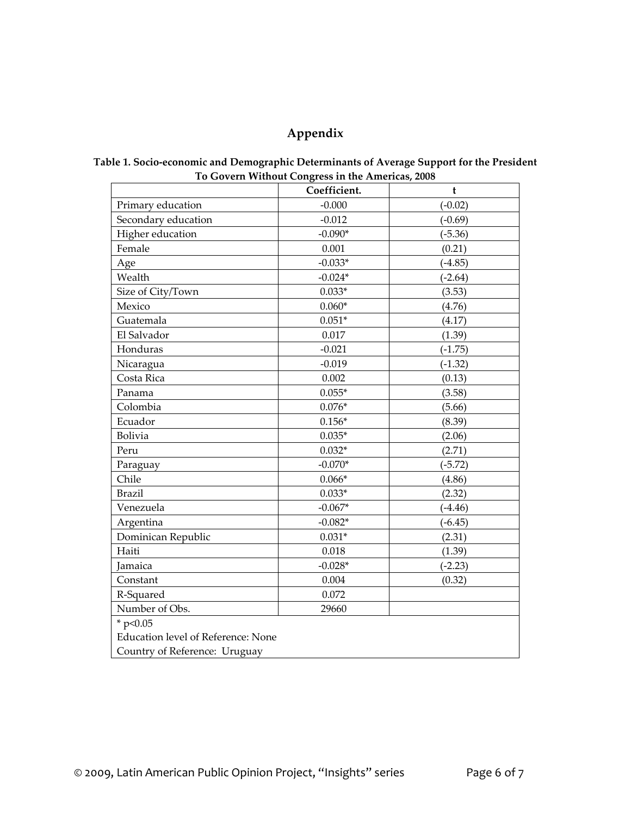# **Appendix**

|                                    | Coefficient. | $\mathbf t$ |  |  |  |
|------------------------------------|--------------|-------------|--|--|--|
| Primary education                  | $-0.000$     | $(-0.02)$   |  |  |  |
| Secondary education                | $-0.012$     | $(-0.69)$   |  |  |  |
| Higher education                   | $-0.090*$    | $(-5.36)$   |  |  |  |
| Female                             | 0.001        | (0.21)      |  |  |  |
| Age                                | $-0.033*$    | $(-4.85)$   |  |  |  |
| Wealth                             | $-0.024*$    | $(-2.64)$   |  |  |  |
| Size of City/Town                  | $0.033*$     | (3.53)      |  |  |  |
| Mexico                             | $0.060*$     | (4.76)      |  |  |  |
| Guatemala                          | $0.051*$     | (4.17)      |  |  |  |
| El Salvador                        | 0.017        | (1.39)      |  |  |  |
| Honduras                           | $-0.021$     | $(-1.75)$   |  |  |  |
| Nicaragua                          | $-0.019$     | $(-1.32)$   |  |  |  |
| Costa Rica                         | 0.002        | (0.13)      |  |  |  |
| Panama                             | $0.055*$     | (3.58)      |  |  |  |
| Colombia                           | $0.076*$     | (5.66)      |  |  |  |
| Ecuador                            | $0.156*$     | (8.39)      |  |  |  |
| Bolivia                            | $0.035*$     | (2.06)      |  |  |  |
| Peru                               | $0.032*$     | (2.71)      |  |  |  |
| Paraguay                           | $-0.070*$    | $(-5.72)$   |  |  |  |
| Chile                              | $0.066*$     | (4.86)      |  |  |  |
| <b>Brazil</b>                      | $0.033*$     | (2.32)      |  |  |  |
| Venezuela                          | $-0.067*$    | $(-4.46)$   |  |  |  |
| Argentina                          | $-0.082*$    | $(-6.45)$   |  |  |  |
| Dominican Republic                 | $0.031*$     | (2.31)      |  |  |  |
| Haiti                              | 0.018        | (1.39)      |  |  |  |
| Jamaica                            | $-0.028*$    | $(-2.23)$   |  |  |  |
| Constant                           | 0.004        | (0.32)      |  |  |  |
| R-Squared                          | 0.072        |             |  |  |  |
| Number of Obs.                     | 29660        |             |  |  |  |
| * $p<0.05$                         |              |             |  |  |  |
| Education level of Reference: None |              |             |  |  |  |
| Country of Reference: Uruguay      |              |             |  |  |  |

#### **Table 1. Socio‐economic and Demographic Determinants of Average Support for the President To Govern Without Congress in the Americas, 2008**